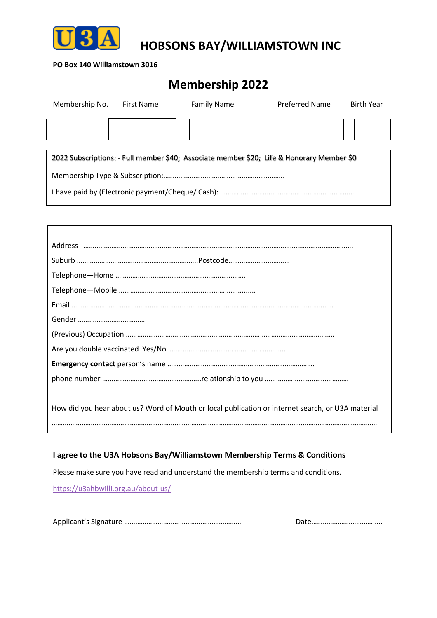

**HOBSONS BAY/WILLIAMSTOWN INC**

#### **PO Box 140 Williamstown 3016**

# **Membership 2022**

| Membership No.                                                                            | <b>First Name</b> | <b>Family Name</b> | <b>Preferred Name</b> | <b>Birth Year</b> |  |  |  |  |
|-------------------------------------------------------------------------------------------|-------------------|--------------------|-----------------------|-------------------|--|--|--|--|
|                                                                                           |                   |                    |                       |                   |  |  |  |  |
|                                                                                           |                   |                    |                       |                   |  |  |  |  |
| 2022 Subscriptions: - Full member \$40; Associate member \$20; Life & Honorary Member \$0 |                   |                    |                       |                   |  |  |  |  |
|                                                                                           |                   |                    |                       |                   |  |  |  |  |
|                                                                                           |                   |                    |                       |                   |  |  |  |  |
|                                                                                           |                   |                    |                       |                   |  |  |  |  |

| Suburb ………………………………………………………Postcode……………………………                                                   |
|---------------------------------------------------------------------------------------------------|
|                                                                                                   |
|                                                                                                   |
|                                                                                                   |
|                                                                                                   |
|                                                                                                   |
|                                                                                                   |
|                                                                                                   |
|                                                                                                   |
|                                                                                                   |
| How did you hear about us? Word of Mouth or local publication or internet search, or U3A material |
|                                                                                                   |

### **I agree to the U3A Hobsons Bay/Williamstown Membership Terms & Conditions**

Please make sure you have read and understand the membership terms and conditions. https://u3ahbwilli.org.au/about-us/

Applicant's Signature ……………………………………………………… Date………………………………..